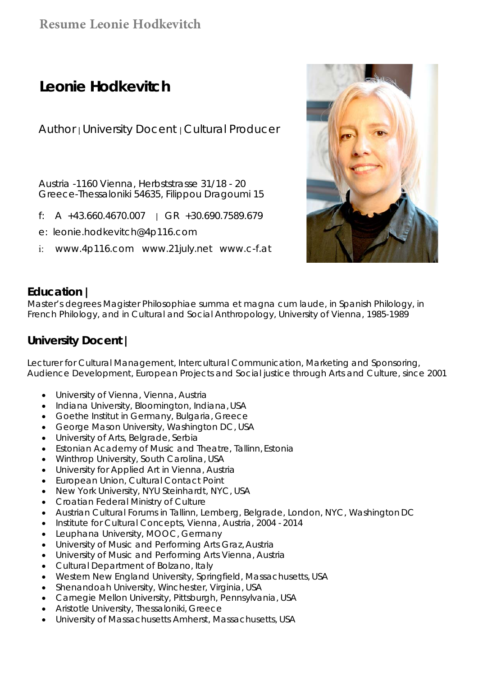## **Resume Leonie Hodkevitch**

# **Leonie Hodkevitch**

Author | University Docent | Cultural Producer

Austria -1160 Vienna, Herbststrasse 31/18 - 20 Greece-Thessaloniki 54635, Filippou Dragoumi 15

- f:  $A +43.660.4670.007$   $A +30.690.7589.679$
- e: leonie.hodkevitch@4p116.com
- i: www.4p116.com www.21july.net www.c-f.at



### **Education |**

Master's degrees Magister Philosophiae summa et magna cum laude, in Spanish Philology, in French Philology, and in Cultural and Social Anthropology, University of Vienna, 1985-1989

## **University Docent |**

Lecturer for Cultural Management, Intercultural Communication, Marketing and Sponsoring, Audience Development, European Projects and Social justice through Arts and Culture, since 2001

- University of Vienna, Vienna, Austria
- Indiana University, Bloomington, Indiana, USA
- Goethe Institut in Germany, Bulgaria, Greece
- **George Mason University, Washington DC, USA**
- University of Arts, Belgrade, Serbia
- Estonian Academy of Music and Theatre, Tallinn, Estonia
- Winthrop University, South Carolina, USA
- University for Applied Art in Vienna, Austria
- European Union, Cultural Contact Point
- New York University, NYU Steinhardt, NYC, USA
- Croatian Federal Ministry of Culture
- Austrian Cultural Forums in Tallinn, Lemberg, Belgrade, London, NYC, Washington DC
- Institute for Cultural Concepts, Vienna, Austria, 2004 2014
- Leuphana University, MOOC, Germany
- University of Music and Performing Arts Graz, Austria
- University of Music and Performing Arts Vienna, Austria
- Cultural Department of Bolzano, Italy
- Western New England University, Springfield, Massachusetts, USA
- Shenandoah University, Winchester, Virginia, USA
- Carnegie Mellon University, Pittsburgh, Pennsylvania, USA
- Aristotle University, Thessaloniki, Greece
- University of Massachusetts Amherst, Massachusetts, USA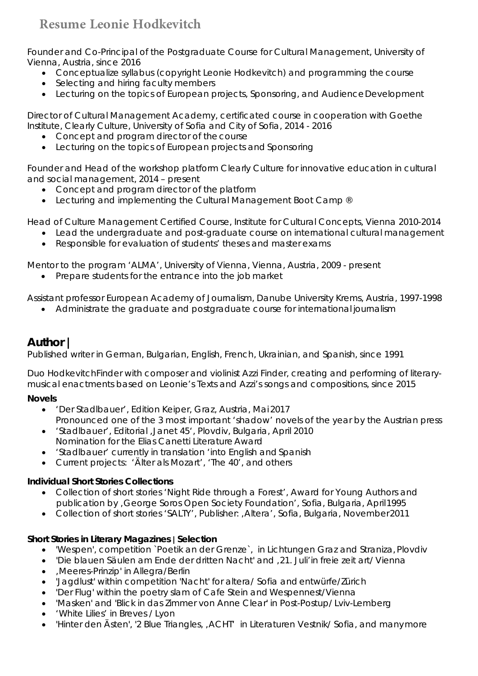# **Resume Leonie Hodkevitch**

Founder and Co-Principal of the Postgraduate Course for Cultural Management, University of Vienna, Austria, since 2016

- Conceptualize syllabus (copyright Leonie Hodkevitch) and programming the course
- Selecting and hiring faculty members
- Lecturing on the topics of European projects, Sponsoring, and Audience Development

Director of Cultural Management Academy, certificated course in cooperation with Goethe Institute, Clearly Culture, University of Sofia and City of Sofia, 2014 - 2016

- Concept and program director of the course
- Lecturing on the topics of European projects and Sponsoring

Founder and Head of the workshop platform Clearly Culture for innovative education in cultural and social management, 2014 – present

- Concept and program director of the platform
- Lecturing and implementing the Cultural Management Boot Camp ®

Head of Culture Management Certified Course, Institute for Cultural Concepts, Vienna 2010-2014

- Lead the undergraduate and post-graduate course on international cultural management
- Responsible for evaluation of students' theses and master exams

Mentor to the program 'ALMA', University of Vienna, Vienna, Austria, 2009 - present

• Prepare students for the entrance into the job market

Assistant professor European Academy of Journalism, Danube University Krems, Austria, 1997-1998

Administrate the graduate and postgraduate course for international journalism

### **Author |**

Published writer in German, Bulgarian, English, French, Ukrainian, and Spanish, since 1991

Duo *HodkevitchFinder* with composer and violinist Azzi Finder, creating and performing of literarymusical enactments based on Leonie's Texts and Azzi's songs and compositions, since 2015

#### **Novels**

- '*Der Stadlbauer*', Edition Keiper, Graz, Austria, Mai 2017 Pronounced one of the 3 most important 'shadow' novels of the year by the Austrian press
- '*Stadlbauer'*, Editorial, Janet 45', Plovdiv, Bulgaria, April 2010 Nomination for the Elias Canetti Literature Award
- 'Stadlbauer' currently in translation 'into English and Spanish
- Current projects: 'Älter als Mozart', 'The 40', and others

#### **Individual Short Stories Collections**

- Collection of short stories 'Night Ride through a Forest', Award for Young Authors and publication by 'George Soros Open Society Foundation', Sofia, Bulgaria, April 1995
- Collection of short stories 'SALTY', Publisher: , Altera', Sofia, Bulgaria, November 2011

#### **Short Stories in Literary Magazines | Selection**

- 'Wespen', competition `Poetik an der Grenze`, in *Lichtungen* Graz and *Straniza,* Plovdiv
- 'Die blauen Säulen am Ende der dritten Nacht' and '21. Juli'in *freie zeit art/ Vienna*
- 'Meeres-Prinzip' in *Allegra*/Berlin
- 'Jagdlust' within competition 'Nacht' for *altera*/ Sofia and *entwürfe*/Zürich
- 'Der Flug' within the poetry slam of Cafe Stein and *Wespennest*/Vienna
- 'Masken' and 'Blick in das Zimmer von Anne Clear' in *Post-Postup*/ Lviv-Lemberg
- 'White Lilies' in *Breves* / Lyon
- 'Hinter den Ästen', '2 Blue Triangles, , ACHT' in Literaturen Vestnik/ Sofia, and manymore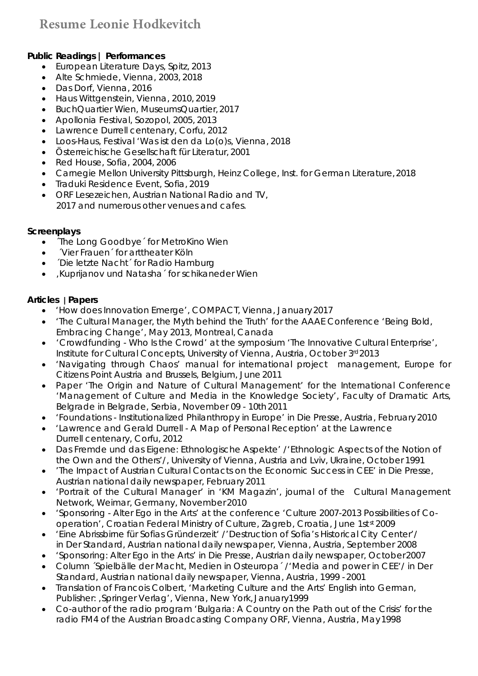#### **Public Readings | Performances**

- **European Literature Days, Spitz, 2013**
- Alte Schmiede, Vienna, 2003, 2018
- Das Dorf, Vienna, 2016
- Haus Wittgenstein, Vienna, 2010, 2019
- BuchQuartier Wien, MuseumsQuartier, 2017
- Apollonia Festival, Sozopol, 2005, 2013
- Lawrence Durrell centenary, Corfu, 2012
- Loos-Haus, Festival 'Was ist den da Lo(o)s, Vienna, 2018
- Österreichische Gesellschaft für Literatur, 2001
- Red House, Sofia, 2004, 2006
- Carnegie Mellon University Pittsburgh, Heinz College, Inst. for German Literature, 2018
- Traduki Residence Event, Sofia, 2019
- ORF Lesezeichen, Austrian National Radio and TV, 2017 and numerous other venues and cafes.

#### **Screenplays**

- The Long Goodbye' for MetroKino Wien
- ´Vier Frauen´ for arttheater Köln
- ´Die letzte Nacht´ for Radio Hamburg
- 'Kuprijanov und Natasha´ for schikaneder Wien

#### **Articles | Papers**

- '*How does Innovation Emerge*', COMPACT, Vienna, January 2017
- '*The Cultural Manager, the Myth behind the Truth*' for the AAAE Conference '*Being Bold, Embracing Change*', May 2013, Montreal, Canada
- '*Crowdfunding Who Is the Crowd*' at the symposium '*The Innovative Cultural Enterprise*', Institute for Cultural Concepts, University of Vienna, Austria, October 3<sup>rd</sup> 2013
- 'Navigating through Chaos' manual for international project management, Europe for Citizens Point Austria and Brussels, Belgium, June 2011
- Paper '*The Origin and Nature of Cultural Management*' for the International Conference '*Management of Culture and Media in the Knowledge Society*', Faculty of Dramatic Arts, Belgrade in Belgrade, Serbia, November 09 - 10th 2011
- '*Foundations Institutionalized Philanthropy in Europe*' in *Die Presse*, Austria, February 2010
- '*Lawrence and Gerald Durrell A Map of Personal Reception*' at the Lawrence Durrell centenary, Corfu, 2012
- Das *Fremde und das Eigene: Ethnologische Aspekte'* /'*Ethnologic Aspects of the Notion of the Own and the Others*'/, University of Vienna, Austria and Lviv, Ukraine, October 1991
- 'The Impact of Austrian Cultural Contacts on the Economic Success in CEE' in *Die Presse*, Austrian national daily newspaper, February 2011
- 'Portrait of the Cultural Manager' in 'KM Magazin', journal of the Cultural Management Network, Weimar, Germany, November 2010
- *'Sponsoring Alter Ego in the Arts'* at the conference '*Culture 2007-2013 Possibilities of Cooperation'*, Croatian Federal Ministry of Culture, Zagreb, Croatia, June 1st<sup>st</sup> 2009
- 'Eine Abrissbirne für Sofias Gründerzeit' */'Destruction of Sofia's Historical City Center'/*  in *Der Standard,* Austrian national daily newspaper, Vienna, Austria, September 2008
- '*Sponsoring: Alter Ego in the Arts*' in *Die Presse*, Austrian daily newspaper, October 2007
- Column ´Spielbälle der Macht, Medien in Osteuropa´ */'Media and power in CEE'/* in *Der Standard,* Austrian national daily newspaper, Vienna, Austria, 1999 - 2001
- Translation of Francois Colbert, 'Marketing Culture and the Arts' English into German, Publisher: , Springer Verlag', Vienna, New York, January1999
- Co-author of the radio program '*Bulgaria: A Country on the Path out of the Crisis'* for the radio FM4 of the Austrian Broadcasting Company ORF, Vienna, Austria, May 1998